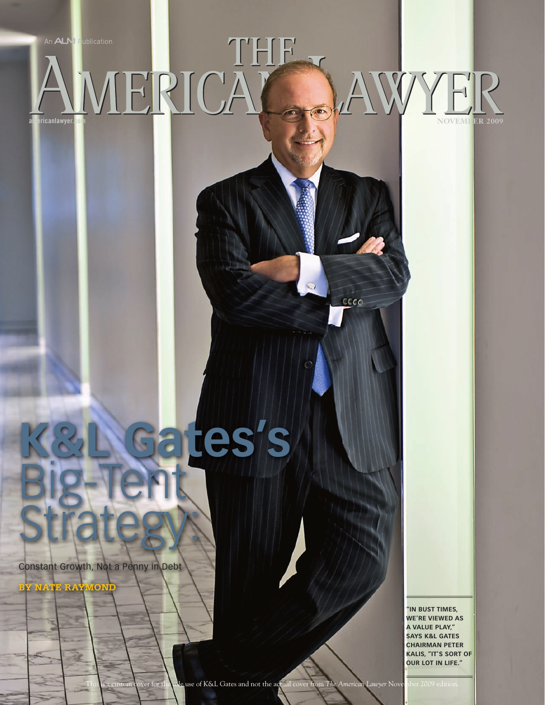An ALM Publication

THF WYF  $\overline{\bullet}$ americanlawyer.com **NOVEMBER 2009** 

 $\circ$ 

 $ccco$ 

**ates's** Big-Tent **Strategy:** 

Constant Growth, Not a Penny in Debt

**by nate raymon** 

**"In Bust times, we're viewed as a value Play," says K&L Gates chairman Peter Kalis, "It's sort of our lot in life."**

This is a custom cover for the sole use of K&L Gates and not the actual cover from *The American Lawyer* November 2009 edition.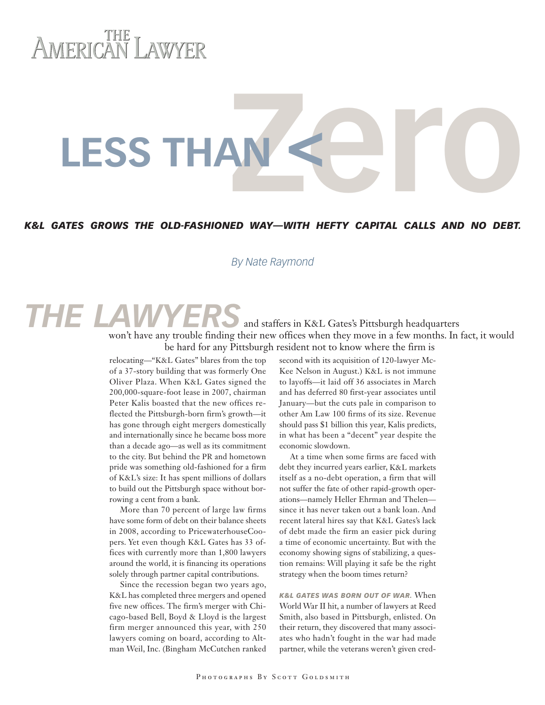# AMERICAN LAWYER

**LESS THAN** 

## *K&L Gates grows the old-fashioned way—with hefty capital calls and no debt.*

#### *By Nate Raymond*

### and staffers in K&L Gates's Pittsburgh headquarters won't have any trouble finding their new offices when they move in a few months. In fact, it would be hard for any Pittsburgh resident not to know where the firm is *THE LAWYER*

relocating—"K&L Gates" blares from the top of a 37-story building that was formerly One Oliver Plaza. When K&L Gates signed the 200,000-square-foot lease in 2007, chairman Peter Kalis boasted that the new offices reflected the Pittsburgh-born firm's growth—it has gone through eight mergers domestically and internationally since he became boss more than a decade ago—as well as its commitment to the city. But behind the PR and hometown pride was something old-fashioned for a firm of K&L's size: It has spent millions of dollars to build out the Pittsburgh space without borrowing a cent from a bank.

More than 70 percent of large law firms have some form of debt on their balance sheets in 2008, according to PricewaterhouseCoopers. Yet even though K&L Gates has 33 offices with currently more than 1,800 lawyers around the world, it is financing its operations solely through partner capital contributions.

Since the recession began two years ago, K&L has completed three mergers and opened five new offices. The firm's merger with Chicago-based Bell, Boyd & Lloyd is the largest firm merger announced this year, with 250 lawyers coming on board, according to Altman Weil, Inc. (Bingham McCutchen ranked

second with its acquisition of 120-lawyer Mc-Kee Nelson in August.) K&L is not immune to layoffs—it laid off 36 associates in March and has deferred 80 first-year associates until January—but the cuts pale in comparison to other Am Law 100 firms of its size. Revenue should pass \$1 billion this year, Kalis predicts, in what has been a "decent" year despite the economic slowdown.

At a time when some firms are faced with debt they incurred years earlier, K&L markets itself as a no-debt operation, a firm that will not suffer the fate of other rapid-growth operations—namely Heller Ehrman and Thelen since it has never taken out a bank loan. And recent lateral hires say that K&L Gates's lack of debt made the firm an easier pick during a time of economic uncertainty. But with the economy showing signs of stabilizing, a question remains: Will playing it safe be the right strategy when the boom times return?

*K&L Gates was born out of war.* When World War II hit, a number of lawyers at Reed Smith, also based in Pittsburgh, enlisted. On their return, they discovered that many associates who hadn't fought in the war had made partner, while the veterans weren't given cred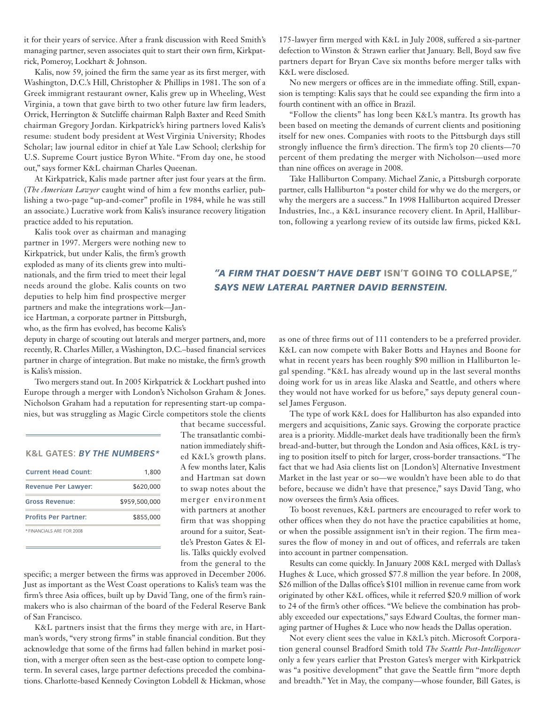it for their years of service. After a frank discussion with Reed Smith's managing partner, seven associates quit to start their own firm, Kirkpatrick, Pomeroy, Lockhart & Johnson.

Kalis, now 59, joined the firm the same year as its first merger, with Washington, D.C.'s Hill, Christopher & Phillips in 1981. The son of a Greek immigrant restaurant owner, Kalis grew up in Wheeling, West Virginia, a town that gave birth to two other future law firm leaders, Orrick, Herrington & Sutcliffe chairman Ralph Baxter and Reed Smith chairman Gregory Jordan. Kirkpatrick's hiring partners loved Kalis's resume: student body president at West Virginia University; Rhodes Scholar; law journal editor in chief at Yale Law School; clerkship for U.S. Supreme Court justice Byron White. "From day one, he stood out," says former K&L chairman Charles Queenan.

At Kirkpatrick, Kalis made partner after just four years at the firm. (*The American Lawyer* caught wind of him a few months earlier, publishing a two-page "up-and-comer" profile in 1984, while he was still an associate.) Lucrative work from Kalis's insurance recovery litigation practice added to his reputation.

Kalis took over as chairman and managing partner in 1997. Mergers were nothing new to Kirkpatrick, but under Kalis, the firm's growth exploded as many of its clients grew into multinationals, and the firm tried to meet their legal needs around the globe. Kalis counts on two deputies to help him find prospective merger partners and make the integrations work—Janice Hartman, a corporate partner in Pittsburgh, who, as the firm has evolved, has become Kalis's

deputy in charge of scouting out laterals and merger partners, and, more recently, R. Charles Miller, a Washington, D.C.–based financial services partner in charge of integration. But make no mistake, the firm's growth is Kalis's mission.

Two mergers stand out. In 2005 Kirkpatrick & Lockhart pushed into Europe through a merger with London's Nicholson Graham & Jones. Nicholson Graham had a reputation for representing start-up companies, but was struggling as Magic Circle competitors stole the clients

| <b>K&amp;L GATES: BY THE NUMBERS*</b> |               |  |  |  |  |  |
|---------------------------------------|---------------|--|--|--|--|--|
| <b>Current Head Count:</b>            | 1,800         |  |  |  |  |  |
| <b>Revenue Per Lawyer:</b>            | \$620,000     |  |  |  |  |  |
| <b>Gross Revenue:</b>                 | \$959,500,000 |  |  |  |  |  |
| <b>Profits Per Partner:</b>           | \$855,000     |  |  |  |  |  |
| * FINANCIALS ARE FOR 2008             |               |  |  |  |  |  |

that became successful. The transatlantic combination immediately shifted K&L's growth plans. A few months later, Kalis and Hartman sat down to swap notes about the merger environment with partners at another firm that was shopping around for a suitor, Seattle's Preston Gates & Ellis. Talks quickly evolved from the general to the

specific; a merger between the firms was approved in December 2006. Just as important as the West Coast operations to Kalis's team was the firm's three Asia offices, built up by David Tang, one of the firm's rainmakers who is also chairman of the board of the Federal Reserve Bank of San Francisco.

K&L partners insist that the firms they merge with are, in Hartman's words, "very strong firms" in stable financial condition. But they acknowledge that some of the firms had fallen behind in market position, with a merger often seen as the best-case option to compete longterm. In several cases, large partner defections preceded the combinations. Charlotte-based Kennedy Covington Lobdell & Hickman, whose

175-lawyer firm merged with K&L in July 2008, suffered a six-partner defection to Winston & Strawn earlier that January. Bell, Boyd saw five partners depart for Bryan Cave six months before merger talks with K&L were disclosed.

No new mergers or offices are in the immediate offing. Still, expansion is tempting: Kalis says that he could see expanding the firm into a fourth continent with an office in Brazil.

"Follow the clients" has long been K&L's mantra. Its growth has been based on meeting the demands of current clients and positioning itself for new ones. Companies with roots to the Pittsburgh days still strongly influence the firm's direction. The firm's top 20 clients—70 percent of them predating the merger with Nicholson—used more than nine offices on average in 2008.

Take Halliburton Company. Michael Zanic, a Pittsburgh corporate partner, calls Halliburton "a poster child for why we do the mergers, or why the mergers are a success." In 1998 Halliburton acquired Dresser Industries, Inc., a K&L insurance recovery client. In April, Halliburton, following a yearlong review of its outside law firms, picked K&L

### *"A firm that doesn't have debt* isn't going to collapse," *says new lateral partner David Bernstein.*

as one of three firms out of 111 contenders to be a preferred provider. K&L can now compete with Baker Botts and Haynes and Boone for what in recent years has been roughly \$90 million in Halliburton legal spending. "K&L has already wound up in the last several months doing work for us in areas like Alaska and Seattle, and others where they would not have worked for us before," says deputy general counsel James Ferguson.

The type of work K&L does for Halliburton has also expanded into mergers and acquisitions, Zanic says. Growing the corporate practice area is a priority. Middle-market deals have traditionally been the firm's bread-and-butter, but through the London and Asia offices, K&L is trying to position itself to pitch for larger, cross-border transactions. "The fact that we had Asia clients list on [London's] Alternative Investment Market in the last year or so—we wouldn't have been able to do that before, because we didn't have that presence," says David Tang, who now oversees the firm's Asia offices.

To boost revenues, K&L partners are encouraged to refer work to other offices when they do not have the practice capabilities at home, or when the possible assignment isn't in their region. The firm measures the flow of money in and out of offices, and referrals are taken into account in partner compensation.

Results can come quickly. In January 2008 K&L merged with Dallas's Hughes & Luce, which grossed \$77.8 million the year before. In 2008, \$26 million of the Dallas office's \$101 million in revenue came from work originated by other K&L offices, while it referred \$20.9 million of work to 24 of the firm's other offices. "We believe the combination has probably exceeded our expectations," says Edward Coultas, the former managing partner of Hughes & Luce who now heads the Dallas operation.

Not every client sees the value in K&L's pitch. Microsoft Corporation general counsel Bradford Smith told *The Seattle Post-Intelligencer* only a few years earlier that Preston Gates's merger with Kirkpatrick was "a positive development" that gave the Seattle firm "more depth and breadth." Yet in May, the company—whose founder, Bill Gates, is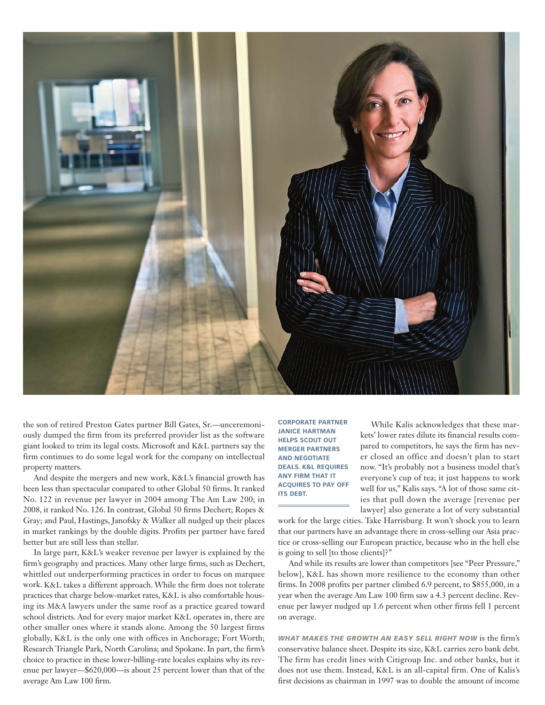

the son of retired Preston Gates partner Bill Gates, Sr.—unceremoniously dumped the firm from its preferred provider list as the software giant looked to trim its legal costs. Microsoft and K&L partners say the firm continues to do some legal work for the company on intellectual property matters.

And despite the mergers and new work, K&L's financial growth has been less than spectacular compared to other Global 50 firms. It ranked No. 122 in revenue per lawyer in 2004 among The Am Law 200; in 2008, it ranked No. 126. In contrast, Global 50 firms Dechert; Ropes & Gray; and Paul, Hastings, Janofsky & Walker all nudged up their places in market rankings by the double digits. Profits per partner have fared better but are still less than stellar.

In large part, K&L's weaker revenue per lawyer is explained by the firm's geography and practices. Many other large firms, such as Dechert, whittled out underperforming practices in order to focus on marquee work. K&L takes a different approach. While the firm does not tolerate practices that charge below-market rates, K&L is also comfortable housing its M&A lawyers under the same roof as a practice geared toward school districts. And for every major market K&L operates in, there are other smaller ones where it stands alone. Among the 50 largest firms globally, K&L is the only one with offices in Anchorage; Fort Worth; Research Triangle Park, North Carolina; and Spokane. In part, the firm's choice to practice in these lower-billing-rate locales explains why its revenue per lawyer—\$620,000—is about 25 percent lower than that of the average Am Law 100 firm.

**corporate partner Janice HArtman helps scout out merger partners and negotiate deals. K&L requires any firm that it acquires to pay off its debt.**

While Kalis acknowledges that these markets' lower rates dilute its financial results compared to competitors, he says the firm has never closed an office and doesn't plan to start now. "It's probably not a business model that's everyone's cup of tea; it just happens to work well for us," Kalis says. "A lot of those same cities that pull down the average [revenue per lawyer] also generate a lot of very substantial

work for the large cities. Take Harrisburg. It won't shock you to learn that our partners have an advantage there in cross-selling our Asia practice or cross-selling our European practice, because who in the hell else is going to sell [to those clients]?"

And while its results are lower than competitors [see "Peer Pressure," below], K&L has shown more resilience to the economy than other firms. In 2008 profits per partner climbed 6.9 percent, to \$855,000, in a year when the average Am Law 100 firm saw a 4.3 percent decline. Revenue per lawyer nudged up 1.6 percent when other firms fell 1 percent on average.

*What makes the growth an easy sell right now* is the firm's conservative balance sheet. Despite its size, K&L carries zero bank debt. The firm has credit lines with Citigroup Inc. and other banks, but it does not use them. Instead, K&L is an all-capital firm. One of Kalis's first decisions as chairman in 1997 was to double the amount of income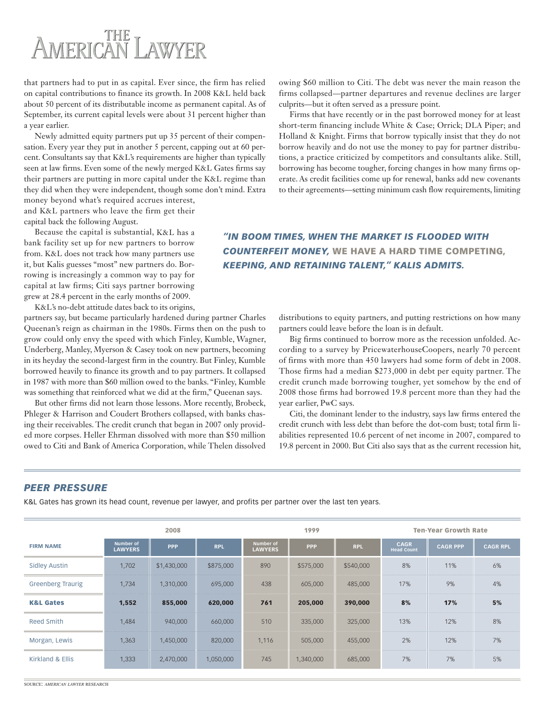# AMERICAN LAWYER

that partners had to put in as capital. Ever since, the firm has relied on capital contributions to finance its growth. In 2008 K&L held back about 50 percent of its distributable income as permanent capital. As of September, its current capital levels were about 31 percent higher than a year earlier.

Newly admitted equity partners put up 35 percent of their compensation. Every year they put in another 5 percent, capping out at 60 percent. Consultants say that K&L's requirements are higher than typically seen at law firms. Even some of the newly merged K&L Gates firms say their partners are putting in more capital under the K&L regime than they did when they were independent, though some don't mind. Extra money beyond what's required accrues interest,

and K&L partners who leave the firm get their capital back the following August.

Because the capital is substantial, K&L has a bank facility set up for new partners to borrow from. K&L does not track how many partners use it, but Kalis guesses "most" new partners do. Borrowing is increasingly a common way to pay for capital at law firms; Citi says partner borrowing grew at 28.4 percent in the early months of 2009.

K&L's no-debt attitude dates back to its origins,

partners say, but became particularly hardened during partner Charles Queenan's reign as chairman in the 1980s. Firms then on the push to grow could only envy the speed with which Finley, Kumble, Wagner, Underberg, Manley, Myerson & Casey took on new partners, becoming in its heyday the second-largest firm in the country. But Finley, Kumble borrowed heavily to finance its growth and to pay partners. It collapsed in 1987 with more than \$60 million owed to the banks. "Finley, Kumble was something that reinforced what we did at the firm," Queenan says.

But other firms did not learn those lessons. More recently, Brobeck, Phleger & Harrison and Coudert Brothers collapsed, with banks chasing their receivables. The credit crunch that began in 2007 only provided more corpses. Heller Ehrman dissolved with more than \$50 million owed to Citi and Bank of America Corporation, while Thelen dissolved owing \$60 million to Citi. The debt was never the main reason the firms collapsed—partner departures and revenue declines are larger culprits—but it often served as a pressure point.

Firms that have recently or in the past borrowed money for at least short-term financing include White & Case; Orrick; DLA Piper; and Holland & Knight. Firms that borrow typically insist that they do not borrow heavily and do not use the money to pay for partner distributions, a practice criticized by competitors and consultants alike. Still, borrowing has become tougher, forcing changes in how many firms operate. As credit facilities come up for renewal, banks add new covenants to their agreements—setting minimum cash flow requirements, limiting

*"In boom times, when the market is flooded with counterfeit money,* we have a hard time competing, *keeping, and retaining talent," Kalis admits.*

> distributions to equity partners, and putting restrictions on how many partners could leave before the loan is in default.

> Big firms continued to borrow more as the recession unfolded. According to a survey by PricewaterhouseCoopers, nearly 70 percent of firms with more than 450 lawyers had some form of debt in 2008. Those firms had a median \$273,000 in debt per equity partner. The credit crunch made borrowing tougher, yet somehow by the end of 2008 those firms had borrowed 19.8 percent more than they had the year earlier, PwC says.

> Citi, the dominant lender to the industry, says law firms entered the credit crunch with less debt than before the dot-com bust; total firm liabilities represented 10.6 percent of net income in 2007, compared to 19.8 percent in 2000. But Citi also says that as the current recession hit,

#### *Peer Pressure*

K&L Gates has grown its head count, revenue per lawyer, and profits per partner over the last ten years.

|                          | 2008                        |             |            | 1999                               |            |            | <b>Ten-Year Growth Rate</b>      |                 |                 |
|--------------------------|-----------------------------|-------------|------------|------------------------------------|------------|------------|----------------------------------|-----------------|-----------------|
| <b>FIRM NAME</b>         | Number of<br><b>LAWYERS</b> | <b>PPP</b>  | <b>RPL</b> | <b>Number of</b><br><b>LAWYERS</b> | <b>PPP</b> | <b>RPL</b> | <b>CAGR</b><br><b>Head Count</b> | <b>CAGR PPP</b> | <b>CAGR RPL</b> |
| <b>Sidley Austin</b>     | 1,702                       | \$1,430,000 | \$875,000  | 890                                | \$575,000  | \$540,000  | 8%                               | 11%             | 6%              |
| <b>Greenberg Traurig</b> | 1.734                       | 1,310,000   | 695,000    | 438                                | 605,000    | 485,000    | 17%                              | 9%              | 4%              |
| <b>K&amp;L Gates</b>     | 1,552                       | 855,000     | 620,000    | 761                                | 205,000    | 390,000    | 8%                               | 17%             | 5%              |
| Reed Smith               | 1,484                       | 940,000     | 660,000    | 510                                | 335,000    | 325,000    | 13%                              | 12%             | 8%              |
| Morgan, Lewis            | 1,363                       | 1,450,000   | 820,000    | 1.116                              | 505,000    | 455,000    | 2%                               | 12%             | 7%              |
| Kirkland & Ellis         | 1,333                       | 2,470,000   | 1,050,000  | <br>745                            | 1,340,000  | 685,000    | 7%                               | 7%              | 5%              |

source: *american lawyer* research